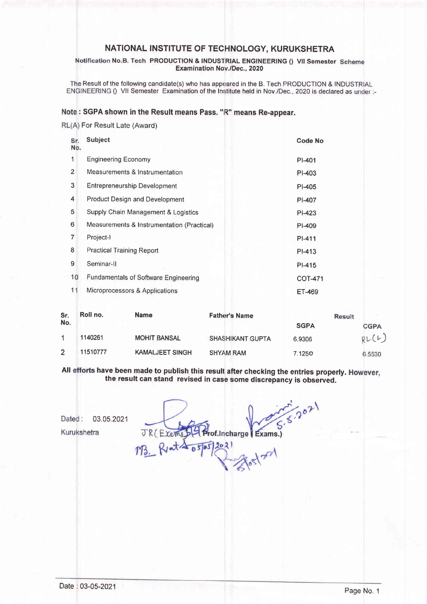## NATIONAL INSTITUTE OF TECHNOLOGY, KURUKSHETRA

#### No.B. Tech PRODUCTION & INDUSTRIAL ENGINEERING () VII Semester Examination Nov./Dec., 2020

The Result of the following candidate(s) who has appeared in the B. Tech PRODUCTION & INDUSTRIAL ENGINEERING () VII Semester Examination of the Institute held in Nov./Dec., 2020 is declared as under :-

### Note: SGPA shown in the Result means Pass. "R" means Re-appear.

RL(A) For Result Late (Award)

| Sr.<br>No.     | <b>Subject</b>                             |                        |                         | <b>Code No</b> |        |             |
|----------------|--------------------------------------------|------------------------|-------------------------|----------------|--------|-------------|
| 1              | <b>Engineering Economy</b>                 |                        | PI-401                  |                |        |             |
| $\overline{2}$ | Measurements & Instrumentation             |                        |                         | PI-403         |        |             |
| 3              | <b>Entrepreneurship Development</b>        |                        |                         | $PI-405$       |        |             |
| 4              | <b>Product Design and Development</b>      |                        |                         | PI-407         |        |             |
| 5              | Supply Chain Management & Logistics        |                        |                         | PI-423         |        |             |
| 6              | Measurements & Instrumentation (Practical) |                        |                         | PI-409         |        |             |
| 7              | Project-I                                  |                        |                         | PI-411         |        |             |
| 8              | <b>Practical Training Report</b>           |                        |                         | PI-413         |        |             |
| 9              | Seminar-II                                 |                        |                         | PI-415         |        |             |
| 10             | Fundamentals of Software Engineering       |                        |                         | <b>COT-471</b> |        |             |
| 11             | Microprocessors & Applications             |                        |                         | ET-469         |        |             |
| Sr.<br>No.     | Roll no.                                   | <b>Name</b>            | <b>Father's Name</b>    | <b>SGPA</b>    | Result | <b>CGPA</b> |
| 1              | 1140261                                    | <b>MOHIT BANSAL</b>    | <b>SHASHIKANT GUPTA</b> | 6.9306         |        | RU(L)       |
| $\overline{2}$ | 11510777                                   | <b>KAMALJEET SINGH</b> | <b>SHYAM RAM</b>        | 7 1250         |        | 6.5530      |

All efforts have been made to publish this result after checking the entries properly. the result can stand revised in case some discrepancy is observed.

7.1250

Dated: 03.05.2021

Kurukshetra

Prof. Incharge Exams.) JRCEYOR  $0565$ 

6.5530